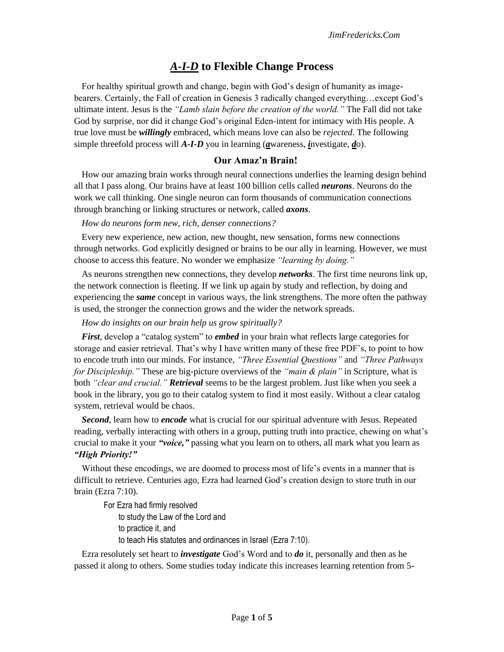# *A-I-D* **to Flexible Change Process**

For healthy spiritual growth and change, begin with God's design of humanity as imagebearers. Certainly, the Fall of creation in Genesis 3 radically changed everything…except God's ultimate intent. Jesus is the *"Lamb slain before the creation of the world."* The Fall did not take God by surprise, nor did it change God's original Eden-intent for intimacy with His people. A true love must be *willingly* embraced, which means love can also be *rejected*. The following simple threefold process will *A-I-D* you in learning (*a*wareness, *i*nvestigate, *d*o).

# **Our Amaz'n Brain!**

How our amazing brain works through neural connections underlies the learning design behind all that I pass along. Our brains have at least 100 billion cells called *neurons*. Neurons do the work we call thinking. One single neuron can form thousands of communication connections through branching or linking structures or network, called *axons*.

*How do neurons form new, rich, denser connections?*

Every new experience, new action, new thought, new sensation, forms new connections through networks. God explicitly designed or brains to be our ally in learning. However, we must choose to access this feature. No wonder we emphasize *"learning by doing."*

As neurons strengthen new connections, they develop *networks*. The first time neurons link up, the network connection is fleeting. If we link up again by study and reflection, by doing and experiencing the *same* concept in various ways, the link strengthens. The more often the pathway is used, the stronger the connection grows and the wider the network spreads.

#### *How do insights on our brain help us grow spiritually?*

*First*, develop a "catalog system" to *embed* in your brain what reflects large categories for storage and easier retrieval. That's why I have written many of these free PDF's, to point to how to encode truth into our minds. For instance, *"Three Essential Questions"* and *"Three Pathways for Discipleship."* These are big-picture overviews of the *"main & plain"* in Scripture, what is both *"clear and crucial." Retrieval* seems to be the largest problem. Just like when you seek a book in the library, you go to their catalog system to find it most easily. Without a clear catalog system, retrieval would be chaos.

*Second*, learn how to *encode* what is crucial for our spiritual adventure with Jesus. Repeated reading, verbally interacting with others in a group, putting truth into practice, chewing on what's crucial to make it your *"voice,"* passing what you learn on to others, all mark what you learn as *"High Priority!"* 

Without these encodings, we are doomed to process most of life's events in a manner that is difficult to retrieve. Centuries ago, Ezra had learned God's creation design to store truth in our brain (Ezra 7:10).

For Ezra had firmly resolved to study the Law of the Lord and to practice it, and to teach His statutes and ordinances in Israel (Ezra 7:10).

Ezra resolutely set heart to *investigate* God's Word and to *do* it, personally and then as he passed it along to others. Some studies today indicate this increases learning retention from 5-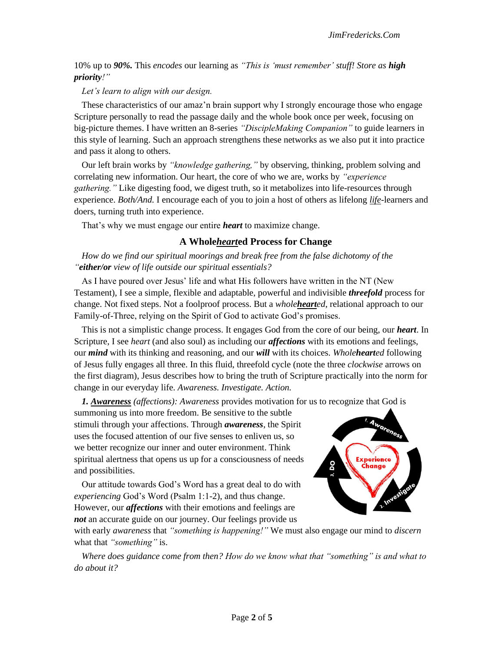10% up to *90%.* This *encodes* our learning as *"This is 'must remember' stuff! Store as high priority!"*

#### *Let's learn to align with our design.*

These characteristics of our amaz'n brain support why I strongly encourage those who engage Scripture personally to read the passage daily and the whole book once per week, focusing on big-picture themes. I have written an 8-series *"DiscipleMaking Companion"* to guide learners in this style of learning. Such an approach strengthens these networks as we also put it into practice and pass it along to others.

Our left brain works by *"knowledge gathering,"* by observing, thinking, problem solving and correlating new information. Our heart, the core of who we are, works by *"experience gathering."* Like digesting food, we digest truth, so it metabolizes into life-resources through experience. *Both/And.* I encourage each of you to join a host of others as lifelong *life*-learners and doers, turning truth into experience.

That's why we must engage our entire *heart* to maximize change.

#### **A Whole***heart***ed Process for Change**

*How do we find our spiritual moorings and break free from the false dichotomy of the "either/or view of life outside our spiritual essentials?*

As I have poured over Jesus' life and what His followers have written in the NT (New Testament), I see a simple, flexible and adaptable, powerful and indivisible *threefold* process for change. Not fixed steps. Not a foolproof process. But a *wholehearted*, relational approach to our Family-of-Three, relying on the Spirit of God to activate God's promises.

This is not a simplistic change process. It engages God from the core of our being, our *heart*. In Scripture, I see *heart* (and also soul) as including our *affections* with its emotions and feelings, our *mind* with its thinking and reasoning, and our *will* with its choices. *Wholehearted* following of Jesus fully engages all three. In this fluid, threefold cycle (note the three *clockwise* arrows on the first diagram), Jesus describes how to bring the truth of Scripture practically into the norm for change in our everyday life. *Awareness. Investigate. Action.*

*1. Awareness (affections): Awareness* provides motivation for us to recognize that God is

summoning us into more freedom. Be sensitive to the subtle stimuli through your affections. Through *awareness*, the Spirit uses the focused attention of our five senses to enliven us, so we better recognize our inner and outer environment. Think spiritual alertness that opens us up for a consciousness of needs and possibilities.

Our attitude towards God's Word has a great deal to do with *experiencing* God's Word (Psalm 1:1-2), and thus change. However, our *affections* with their emotions and feelings are *not* an accurate guide on our journey. Our feelings provide us



with early *awareness* that *"something is happening!"* We must also engage our mind to *discern*  what that *"something"* is.

*Where does guidance come from then? How do we know what that "something" is and what to do about it?*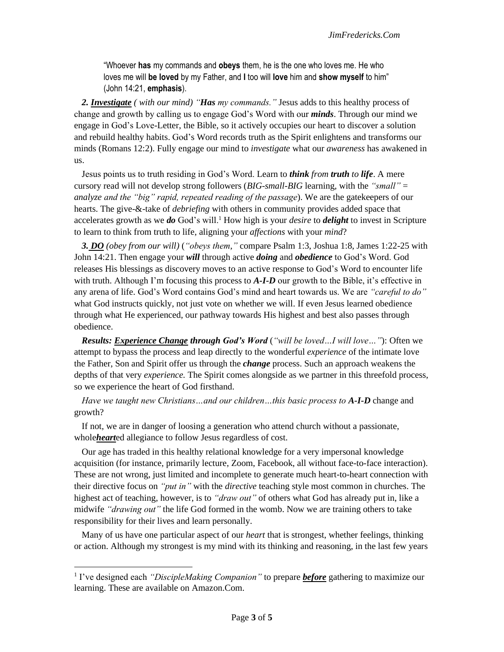"Whoever **has** my commands and **obeys** them, he is the one who loves me. He who loves me will **be loved** by my Father, and **I** too will **love** him and **show myself** to him" (John 14:21, **emphasis**).

*2. Investigate ( with our mind) "Has my commands."* Jesus adds to this healthy process of change and growth by calling us to engage God's Word with our *minds*. Through our mind we engage in God's Love-Letter, the Bible, so it actively occupies our heart to discover a solution and rebuild healthy habits. God's Word records truth as the Spirit enlightens and transforms our minds (Romans 12:2). Fully engage our mind to *investigate* what our *awareness* has awakened in us.

Jesus points us to truth residing in God's Word. Learn to *think from truth to life*. A mere cursory read will not develop strong followers (*BIG-small-BIG* learning, with the *"small"* = *analyze and the "big" rapid, repeated reading of the passage*). We are the gatekeepers of our hearts. The give-&-take of *debriefing* with others in community provides added space that accelerates growth as we *do* God's will.<sup>1</sup> How high is your *desire* to *delight* to invest in Scripture to learn to think from truth to life, aligning your *affections* with your *mind*?

*3. DO (obey from our will)* (*"obeys them,"* compare Psalm 1:3, Joshua 1:8, James 1:22-25 with John 14:21. Then engage your *will* through active *doing* and *obedience* to God's Word. God releases His blessings as discovery moves to an active response to God's Word to encounter life with truth. Although I'm focusing this process to **A-I-D** our growth to the Bible, it's effective in any arena of life. God's Word contains God's mind and heart towards us. We are *"careful to do"*  what God instructs quickly, not just vote on whether we will. If even Jesus learned obedience through what He experienced, our pathway towards His highest and best also passes through obedience.

*Results: Experience Change through God's Word* (*"will be loved…I will love…"*): Often we attempt to bypass the process and leap directly to the wonderful *experience* of the intimate love the Father, Son and Spirit offer us through the *change* process. Such an approach weakens the depths of that very *experience.* The Spirit comes alongside as we partner in this threefold process, so we experience the heart of God firsthand.

*Have we taught new Christians…and our children…this basic process to A-I-D* change and growth?

If not, we are in danger of loosing a generation who attend church without a passionate, whole*heart*ed allegiance to follow Jesus regardless of cost.

Our age has traded in this healthy relational knowledge for a very impersonal knowledge acquisition (for instance, primarily lecture, Zoom, Facebook, all without face-to-face interaction). These are not wrong, just limited and incomplete to generate much heart-to-heart connection with their directive focus on *"put in"* with the *directive* teaching style most common in churches. The highest act of teaching, however, is to *"draw out"* of others what God has already put in, like a midwife *"drawing out"* the life God formed in the womb. Now we are training others to take responsibility for their lives and learn personally.

Many of us have one particular aspect of our *heart* that is strongest, whether feelings, thinking or action. Although my strongest is my mind with its thinking and reasoning, in the last few years

<sup>&</sup>lt;sup>1</sup> I've designed each *"DiscipleMaking Companion"* to prepare *before* gathering to maximize our learning. These are available on Amazon.Com.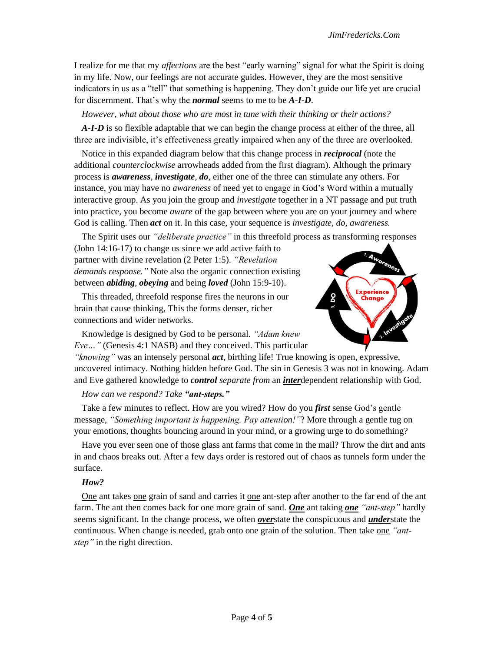I realize for me that my *affections* are the best "early warning" signal for what the Spirit is doing in my life. Now, our feelings are not accurate guides. However, they are the most sensitive indicators in us as a "tell" that something is happening. They don't guide our life yet are crucial for discernment. That's why the *normal* seems to me to be *A-I-D*.

*However, what about those who are most in tune with their thinking or their actions?*

*A-I-D* is so flexible adaptable that we can begin the change process at either of the three, all three are indivisible, it's effectiveness greatly impaired when any of the three are overlooked.

Notice in this expanded diagram below that this change process in *reciprocal* (note the additional *counterclockwise* arrowheads added from the first diagram). Although the primary process is *awareness, investigate, do,* either one of the three can stimulate any others. For instance, you may have no *awareness* of need yet to engage in God's Word within a mutually interactive group. As you join the group and *investigate* together in a NT passage and put truth into practice*,* you become *aware* of the gap between where you are on your journey and where God is calling. Then *act* on it. In this case, your sequence is *investigate, do, awareness.*

The Spirit uses our *"deliberate practice"* in this threefold process as transforming responses

(John 14:16-17) to change us since we add active faith to partner with divine revelation (2 Peter 1:5). *"Revelation demands response."* Note also the organic connection existing between *abiding*, *obeying* and being *loved* (John 15:9-10).

This threaded, threefold response fires the neurons in our brain that cause thinking, This the forms denser, richer connections and wider networks.



Knowledge is designed by God to be personal. *"Adam knew Eve…"* (Genesis 4:1 NASB) and they conceived. This particular

*"knowing"* was an intensely personal *act*, birthing life! True knowing is open, expressive, uncovered intimacy. Nothing hidden before God. The sin in Genesis 3 was not in knowing. Adam and Eve gathered knowledge to *control separate from* an *inter*dependent relationship with God.

## *How can we respond? Take "ant-steps."*

Take a few minutes to reflect. How are you wired? How do you *first* sense God's gentle message, *"Something important is happening. Pay attention!"*? More through a gentle tug on your emotions, thoughts bouncing around in your mind, or a growing urge to do something?

Have you ever seen one of those glass ant farms that come in the mail? Throw the dirt and ants in and chaos breaks out. After a few days order is restored out of chaos as tunnels form under the surface.

## *How?*

One ant takes one grain of sand and carries it one ant-step after another to the far end of the ant farm. The ant then comes back for one more grain of sand. *One* ant taking *one "ant-step"* hardly seems significant. In the change process, we often *over*state the conspicuous and *under*state the continuous. When change is needed, grab onto one grain of the solution. Then take one *"antstep"* in the right direction.